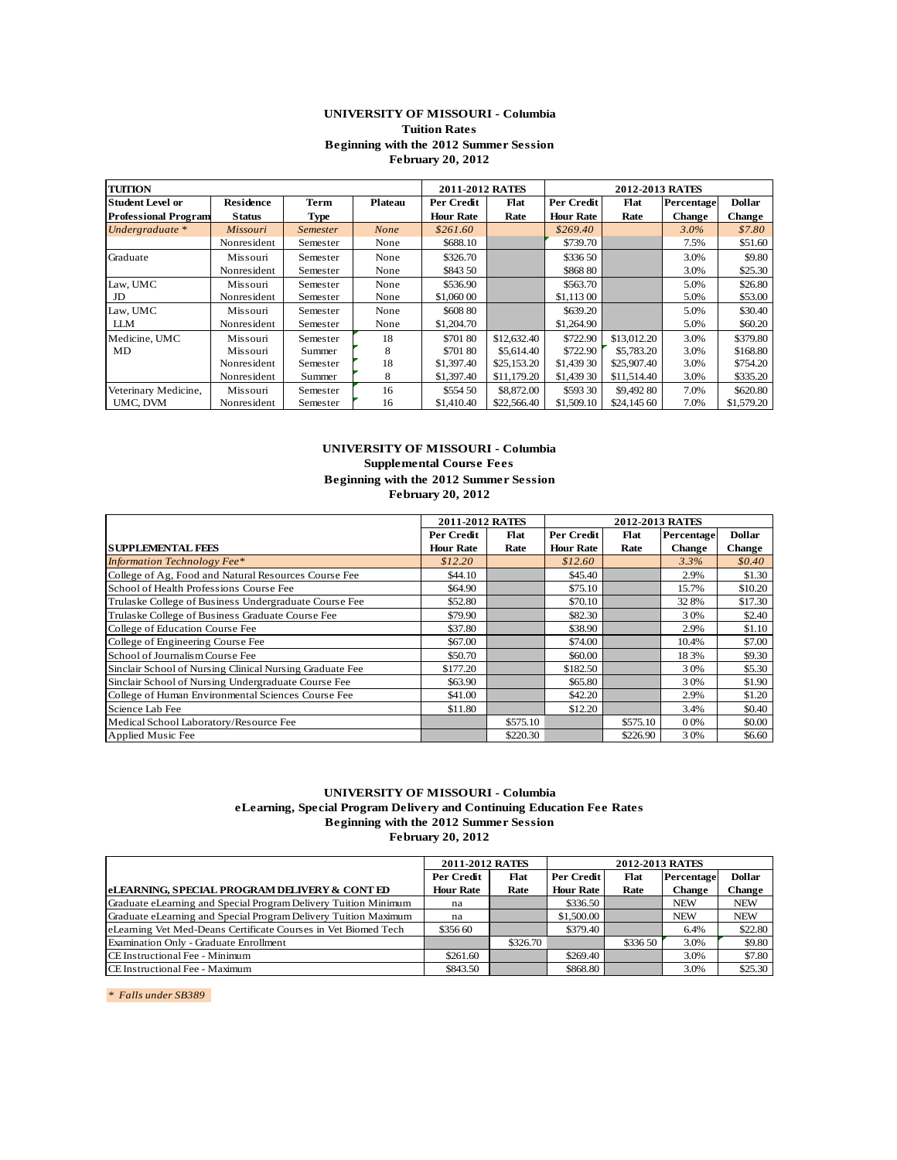## **UNIVERSITY OF MISSOURI - Columbia Tuition Rates Beginning with the 2012 Summer Session February 20, 2012**

|                             | Beginning with the 2012 Summer Session<br><b>February 20, 2012</b> |             |                |                  |             |                  |                 |               |               |  |  |
|-----------------------------|--------------------------------------------------------------------|-------------|----------------|------------------|-------------|------------------|-----------------|---------------|---------------|--|--|
| <b>TUITION</b>              |                                                                    |             |                | 2011-2012 RATES  |             |                  | 2012-2013 RATES |               |               |  |  |
| <b>Student Level or</b>     | <b>Residence</b>                                                   | <b>Term</b> | <b>Plateau</b> | Per Credit       | Flat        | Per Credit       | Flat            | Percentage    | <b>Dollar</b> |  |  |
| <b>Professional Program</b> | <b>Status</b>                                                      | Type        |                | <b>Hour Rate</b> | Rate        | <b>Hour Rate</b> | Rate            | <b>Change</b> | <b>Change</b> |  |  |
| Undergraduate *             | Missouri                                                           | Semester    | None           | \$261.60         |             | \$269.40         |                 | $3.0\%$       | \$7.80        |  |  |
|                             | Nonresident                                                        | Semester    | None           | \$688.10         |             | \$739.70         |                 | 7.5%          | \$51.60       |  |  |
| Graduate                    | Missouri                                                           | Semester    | None           | \$326.70         |             | \$336.50         |                 | 3.0%          | \$9.80        |  |  |
|                             | Nonresident                                                        | Semester    | None           | \$843 50         |             | \$868 80         |                 | 3.0%          | \$25.30       |  |  |
| Law, UMC                    | Missouri                                                           | Semester    | None           | \$536.90         |             | \$563.70         |                 | 5.0%          | \$26.80       |  |  |
| JD                          | Nonresident                                                        | Semester    | None           | \$1,060 00       |             | \$1,113 00       |                 | 5.0%          | \$53.00       |  |  |
| Law, UMC                    | Missouri                                                           | Semester    | None           | \$608.80         |             | \$639.20         |                 | 5.0%          | \$30.40       |  |  |
| <b>LLM</b>                  | Nonresident                                                        | Semester    | None           | \$1,204.70       |             | \$1,264.90       |                 | 5.0%          | \$60.20       |  |  |
| Medicine, UMC               | Missouri                                                           | Semester    | 18             | \$701 80         | \$12,632.40 | \$722.90         | \$13,012.20     | 3.0%          | \$379.80      |  |  |
| MD                          | Missouri                                                           | Summer      | 8              | \$701 80         | \$5,614.40  | \$722.90         | \$5,783.20      | 3.0%          | \$168.80      |  |  |
|                             | Nonresident                                                        | Semester    | 18             | \$1,397.40       | \$25,153.20 | \$1,439 30       | \$25,907.40     | 3.0%          | \$754.20      |  |  |
|                             | Nonresident                                                        | Summer      | 8              | \$1,397.40       | \$11,179.20 | \$1,439 30       | \$11,514.40     | 3.0%          | \$335.20      |  |  |
| Veterinary Medicine,        | Missouri                                                           | Semester    | 16             | \$554 50         | \$8,872.00  | \$593 30         | \$9,492 80      | 7.0%          | \$620.80      |  |  |
| UMC, DVM                    | Nonresident                                                        | Semester    | 16             | \$1,410.40       | \$22,566.40 | \$1,509.10       | \$24,145 60     | 7.0%          | \$1,579.20    |  |  |
|                             |                                                                    |             |                |                  |             |                  |                 |               |               |  |  |

# **UNIVERSITY OF MISSOURI - Columbia**

**Supplemental Course Fees**

|                                                          | Beginning with the 2012 Summer Session<br><b>February 20, 2012</b> |          |                  |          |               |               |  |  |  |  |  |  |
|----------------------------------------------------------|--------------------------------------------------------------------|----------|------------------|----------|---------------|---------------|--|--|--|--|--|--|
|                                                          | 2011-2012 RATES                                                    |          | 2012-2013 RATES  |          |               |               |  |  |  |  |  |  |
|                                                          | Per Credit                                                         | Flat     | Per Credit       | Flat     | Percentage    | <b>Dollar</b> |  |  |  |  |  |  |
| <b>SUPPLEMENTAL FEES</b>                                 | <b>Hour Rate</b>                                                   | Rate     | <b>Hour Rate</b> | Rate     | <b>Change</b> | <b>Change</b> |  |  |  |  |  |  |
| <b>Information Technology Fee*</b>                       | \$12.20                                                            |          | \$12.60          |          | 3.3%          | \$0.40        |  |  |  |  |  |  |
| College of Ag, Food and Natural Resources Course Fee     | \$44.10                                                            |          | \$45.40          |          | 2.9%          | \$1.30        |  |  |  |  |  |  |
| School of Health Professions Course Fee                  | \$64.90                                                            |          | \$75.10          |          | 15.7%         | \$10.20       |  |  |  |  |  |  |
| Trulaske College of Business Undergraduate Course Fee    | \$52.80                                                            |          | \$70.10          |          | 328%          | \$17.30       |  |  |  |  |  |  |
| Trulaske College of Business Graduate Course Fee         | \$79.90                                                            |          | \$82.30          |          | 30%           | \$2.40        |  |  |  |  |  |  |
| College of Education Course Fee                          | \$37.80                                                            |          | \$38.90          |          | 2.9%          | \$1.10        |  |  |  |  |  |  |
| College of Engineering Course Fee                        | \$67.00                                                            |          | \$74.00          |          | 10.4%         | \$7.00        |  |  |  |  |  |  |
| School of Journalism Course Fee                          | \$50.70                                                            |          | \$60.00          |          | 18 3%         | \$9.30        |  |  |  |  |  |  |
| Sinclair School of Nursing Clinical Nursing Graduate Fee | \$177.20                                                           |          | \$182.50         |          | 30%           | \$5.30        |  |  |  |  |  |  |
| Sinclair School of Nursing Undergraduate Course Fee      | \$63.90                                                            |          | \$65.80          |          | 30%           | \$1.90        |  |  |  |  |  |  |
| College of Human Environmental Sciences Course Fee       | \$41.00                                                            |          | \$42.20          |          | 2.9%          | \$1.20        |  |  |  |  |  |  |
| Science Lab Fee                                          | \$11.80                                                            |          | \$12.20          |          | 3.4%          | \$0.40        |  |  |  |  |  |  |
| Medical School Laboratory/Resource Fee                   |                                                                    | \$575.10 |                  | \$575.10 | 0.0%          | \$0.00        |  |  |  |  |  |  |
| Applied Music Fee                                        |                                                                    | \$220.30 |                  | \$226.90 | 30%           | \$6.60        |  |  |  |  |  |  |

#### **UNIVERSITY OF MISSOURI - Columbia**

**eLearning, Special Program Delivery and Continuing Education Fee Rates Beginning with the 2012 Summer Session**

| elearning, special riogram Delivery and Communig Education Fee Kates<br>Beginning with the 2012 Summer Session | <b>February 20, 2012</b> |          |                  |                        |               |               |
|----------------------------------------------------------------------------------------------------------------|--------------------------|----------|------------------|------------------------|---------------|---------------|
|                                                                                                                | 2011-2012 RATES          |          |                  | <b>2012-2013 RATES</b> |               |               |
|                                                                                                                | Per Credit               | Flat     | Per Credit       | Flat                   | Percentage    | <b>Dollar</b> |
| eLEARNING, SPECIAL PROGRAM DELIVERY & CONT ED                                                                  | <b>Hour Rate</b>         | Rate     | <b>Hour Rate</b> | Rate                   | <b>Change</b> | <b>Change</b> |
| Graduate eLearning and Special Program Delivery Tuition Minimum                                                | na                       |          | \$336.50         |                        | <b>NEW</b>    | <b>NEW</b>    |
| Graduate eLearning and Special Program Delivery Tuition Maximum                                                | na                       |          | \$1,500.00       |                        | <b>NEW</b>    | <b>NEW</b>    |
| eLearning Vet Med-Deans Certificate Courses in Vet Biomed Tech                                                 | \$356 60                 |          | \$379.40         |                        | 6.4%          | \$22.80       |
| Examination Only - Graduate Enrollment                                                                         |                          | \$326.70 |                  | \$336.50               | 3.0%          | \$9.80        |
| CE Instructional Fee - Minimum                                                                                 | \$261.60                 |          | \$269.40         |                        | 3.0%          | \$7.80        |
| CE Instructional Fee - Maximum                                                                                 | \$843.50                 |          | \$868.80         |                        | 3.0%          | \$25.30       |
|                                                                                                                |                          |          |                  |                        |               |               |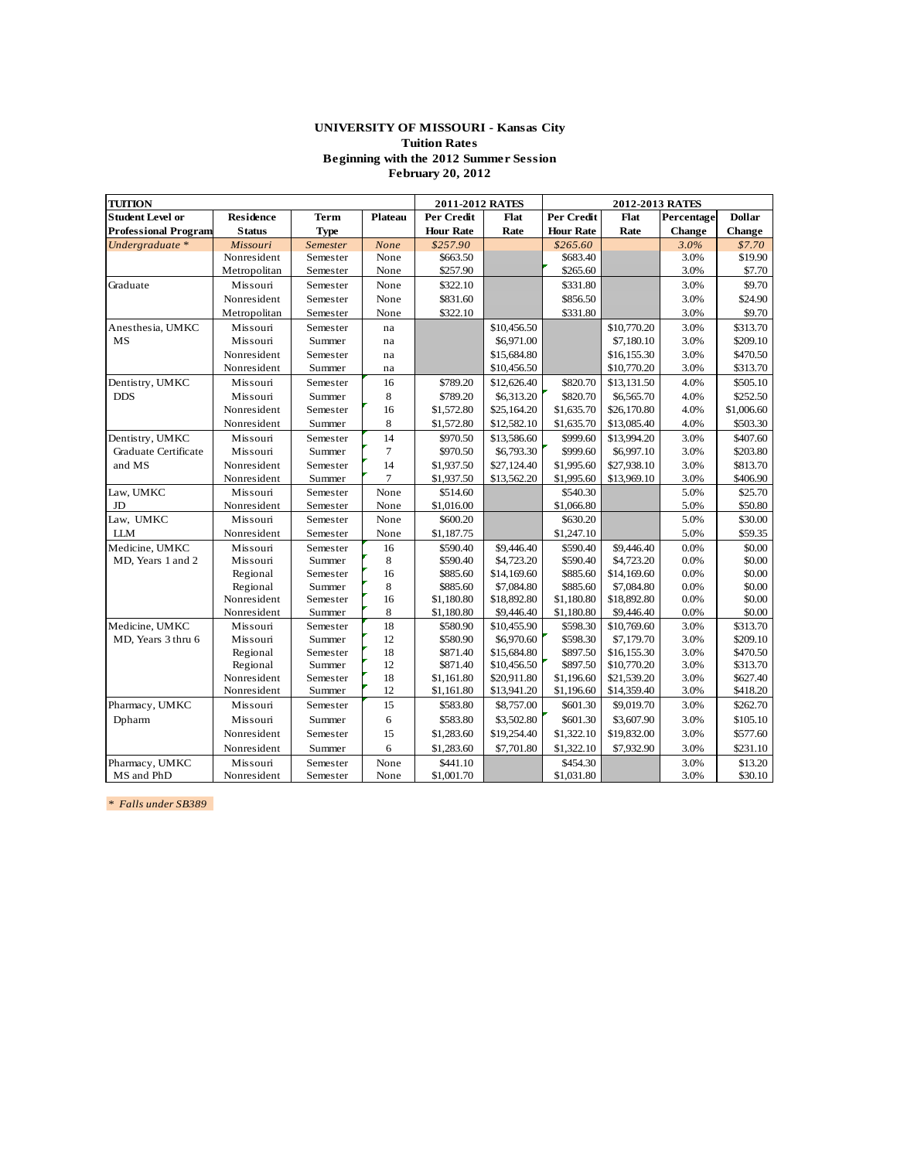## **UNIVERSITY OF MISSOURI - Kansas City Tuition Rates Beginning with the 2012 Summer Session February 20, 2012**

| <b>TUITION</b>              |                  |             |                | 2011-2012 RATES  |             |                  | 2012-2013 RATES |               |               |
|-----------------------------|------------------|-------------|----------------|------------------|-------------|------------------|-----------------|---------------|---------------|
| <b>Student Level or</b>     | <b>Residence</b> | Term        | Plateau        | Per Credit       | Flat        | Per Credit       | Flat            | Percentage    | <b>Dollar</b> |
| <b>Professional Program</b> | <b>Status</b>    | <b>Type</b> |                | <b>Hour Rate</b> | Rate        | <b>Hour Rate</b> | Rate            | <b>Change</b> | Change        |
| Undergraduate *             | Missouri         | Semester    | None           | \$257.90         |             | \$265.60         |                 | 3.0%          | \$7.70        |
|                             | Nonresident      | Semester    | None           | \$663.50         |             | \$683.40         |                 | 3.0%          | \$19.90       |
|                             | Metropolitan     | Semester    | None           | \$257.90         |             | \$265.60         |                 | 3.0%          | \$7.70        |
| Graduate                    | Missouri         | Semester    | None           | \$322.10         |             | \$331.80         |                 | 3.0%          | \$9.70        |
|                             | Nonresident      | Semester    | None           | \$831.60         |             | \$856.50         |                 | 3.0%          | \$24.90       |
|                             | Metropolitan     | Semester    | None           | \$322.10         |             | \$331.80         |                 | 3.0%          | \$9.70        |
| Anesthesia, UMKC            | Missouri         | Semester    | na             |                  | \$10,456.50 |                  | \$10,770.20     | 3.0%          | \$313.70      |
| MS                          | Missouri         | Summer      | na             |                  | \$6,971.00  |                  | \$7,180.10      | 3.0%          | \$209.10      |
|                             | Nonresident      | Semester    | na             |                  | \$15,684.80 |                  | \$16,155.30     | 3.0%          | \$470.50      |
|                             | Nonresident      | Summer      | na             |                  | \$10,456.50 |                  | \$10,770.20     | 3.0%          | \$313.70      |
| Dentistry, UMKC             | Missouri         | Semester    | 16             | \$789.20         | \$12,626.40 | \$820.70         | \$13,131.50     | 4.0%          | \$505.10      |
| <b>DDS</b>                  | Missouri         | Summer      | 8              | \$789.20         | \$6,313.20  | \$820.70         | \$6,565.70      | 4.0%          | \$252.50      |
|                             | Nonresident      | Semester    | 16             | \$1,572.80       | \$25,164.20 | \$1,635.70       | \$26,170.80     | 4.0%          | \$1,006.60    |
|                             | Nonresident      | Summer      | 8              | \$1,572.80       | \$12,582.10 | \$1,635.70       | \$13,085.40     | 4.0%          | \$503.30      |
| Dentistry, UMKC             | Missouri         | Semester    | 14             | \$970.50         | \$13,586.60 | \$999.60         | \$13,994.20     | 3.0%          | \$407.60      |
| Graduate Certificate        | Missouri         | Summer      | $\overline{7}$ | \$970.50         | \$6,793.30  | \$999.60         | \$6,997.10      | 3.0%          | \$203.80      |
| and MS                      | Nonresident      | Semester    | 14             | \$1,937.50       | \$27,124.40 | \$1,995.60       | \$27,938.10     | 3.0%          | \$813.70      |
|                             | Nonresident      | Summer      | $\overline{7}$ | \$1,937.50       | \$13,562.20 | \$1,995.60       | \$13,969.10     | 3.0%          | \$406.90      |
| Law, UMKC                   | Missouri         | Semester    | None           | \$514.60         |             | \$540.30         |                 | 5.0%          | \$25.70       |
| JD                          | Nonresident      | Semester    | None           | \$1,016.00       |             | \$1,066.80       |                 | 5.0%          | \$50.80       |
| Law, UMKC                   | Missouri         | Semester    | None           | \$600.20         |             | \$630.20         |                 | 5.0%          | \$30.00       |
| <b>LLM</b>                  | Nonresident      | Semester    | None           | \$1,187.75       |             | \$1,247.10       |                 | 5.0%          | \$59.35       |
| Medicine, UMKC              | Missouri         | Semester    | 16             | \$590.40         | \$9,446.40  | \$590.40         | \$9,446.40      | 0.0%          | \$0.00        |
| MD, Years 1 and 2           | Missouri         | Summer      | 8              | \$590.40         | \$4,723.20  | \$590.40         | \$4,723.20      | 0.0%          | \$0.00        |
|                             | Regional         | Semester    | 16             | \$885.60         | \$14,169.60 | \$885.60         | \$14,169.60     | 0.0%          | \$0.00        |
|                             | Regional         | Summer      | 8              | \$885.60         | \$7,084.80  | \$885.60         | \$7,084.80      | 0.0%          | \$0.00        |
|                             | Nonresident      | Semester    | 16             | \$1,180.80       | \$18,892.80 | \$1,180.80       | \$18,892.80     | 0.0%          | \$0.00        |
|                             | Nonresident      | Summer      | 8              | \$1,180.80       | \$9,446.40  | \$1,180.80       | \$9,446.40      | 0.0%          | \$0.00        |
| Medicine, UMKC              | Missouri         | Semester    | 18             | \$580.90         | \$10,455.90 | \$598.30         | \$10,769.60     | 3.0%          | \$313.70      |
| MD, Years 3 thru 6          | Missouri         | Summer      | 12             | \$580.90         | \$6,970.60  | \$598.30         | \$7,179.70      | 3.0%          | \$209.10      |
|                             | Regional         | Semester    | 18             | \$871.40         | \$15,684.80 | \$897.50         | \$16,155.30     | 3.0%          | \$470.50      |
|                             | Regional         | Summer      | 12             | \$871.40         | \$10,456.50 | \$897.50         | \$10,770.20     | 3.0%          | \$313.70      |
|                             | Nonresident      | Semester    | 18             | \$1,161.80       | \$20,911.80 | \$1,196.60       | \$21,539.20     | 3.0%          | \$627.40      |
|                             | Nonresident      | Summer      | 12             | \$1,161.80       | \$13,941.20 | \$1,196.60       | \$14,359.40     | 3.0%          | \$418.20      |
| Pharmacy, UMKC              | Missouri         | Semester    | 15             | \$583.80         | \$8,757.00  | \$601.30         | \$9,019.70      | 3.0%          | \$262.70      |
| Dpharm                      | Missouri         | Summer      | 6              | \$583.80         | \$3,502.80  | \$601.30         | \$3,607.90      | 3.0%          | \$105.10      |
|                             | Nonresident      | Semester    | 15             | \$1,283.60       | \$19,254.40 | \$1,322.10       | \$19,832.00     | 3.0%          | \$577.60      |
|                             | Nonresident      | Summer      | 6              | \$1,283.60       | \$7,701.80  | \$1,322.10       | \$7,932.90      | 3.0%          | \$231.10      |
| Pharmacy, UMKC              | Missouri         | Semester    | None           | \$441.10         |             | \$454.30         |                 | 3.0%          | \$13.20       |
| MS and PhD                  | Nonresident      | Semester    | None           | \$1,001.70       |             | \$1,031.80       |                 | 3.0%          | \$30.10       |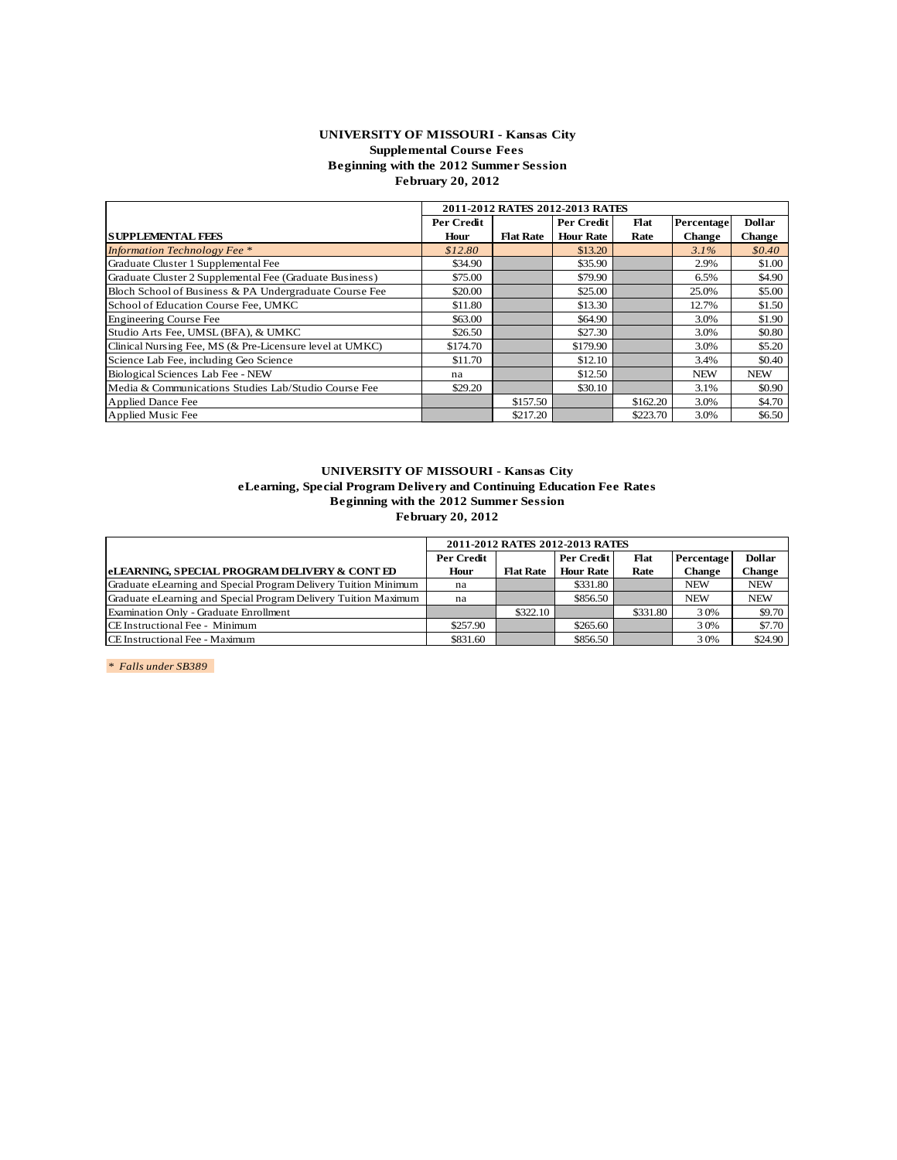## **UNIVERSITY OF MISSOURI - Kansas City Supplemental Course Fees Beginning with the 2012 Summer Session February 20, 2012**

|                                                          |            |                  | 2011-2012 RATES 2012-2013 RATES |          |               |               |
|----------------------------------------------------------|------------|------------------|---------------------------------|----------|---------------|---------------|
|                                                          | Per Credit |                  | Per Credit                      | Flat     | Percentage    | <b>Dollar</b> |
| <b>SUPPLEMENTAL FEES</b>                                 | Hour       | <b>Flat Rate</b> | <b>Hour Rate</b>                | Rate     | <b>Change</b> | <b>Change</b> |
| <b>Information Technology Fee</b> *                      | \$12.80    |                  | \$13.20                         |          | $3.1\%$       | \$0.40        |
| Graduate Cluster 1 Supplemental Fee                      | \$34.90    |                  | \$35.90                         |          | 2.9%          | \$1.00        |
| Graduate Cluster 2 Supplemental Fee (Graduate Business)  | \$75.00    |                  | \$79.90                         |          | 6.5%          | \$4.90        |
| Bloch School of Business & PA Undergraduate Course Fee   | \$20.00    |                  | \$25.00                         |          | 25.0%         | \$5.00        |
| School of Education Course Fee, UMKC                     | \$11.80    |                  | \$13.30                         |          | 12.7%         | \$1.50        |
| <b>Engineering Course Fee</b>                            | \$63.00    |                  | \$64.90                         |          | 3.0%          | \$1.90        |
| Studio Arts Fee, UMSL (BFA), & UMKC                      | \$26.50    |                  | \$27.30                         |          | 3.0%          | \$0.80        |
| Clinical Nursing Fee, MS (& Pre-Licensure level at UMKC) | \$174.70   |                  | \$179.90                        |          | 3.0%          | \$5.20        |
| Science Lab Fee, including Geo Science                   | \$11.70    |                  | \$12.10                         |          | 3.4%          | \$0.40        |
| Biological Sciences Lab Fee - NEW                        | na         |                  | \$12.50                         |          | <b>NEW</b>    | <b>NEW</b>    |
| Media & Communications Studies Lab/Studio Course Fee     | \$29.20    |                  | \$30.10                         |          | 3.1%          | \$0.90        |
| <b>Applied Dance Fee</b>                                 |            | \$157.50         |                                 | \$162.20 | 3.0%          | \$4.70        |
| Applied Music Fee                                        |            | \$217.20         |                                 | \$223.70 | 3.0%          | \$6.50        |

#### **UNIVERSITY OF MISSOURI - Kansas City eLearning, Special Program Delivery and Continuing Education Fee Rates Beginning with the 2012 Summer Session February 20, 2012**

| ellearning, special riogram Denvery and Communig Education Fee Kates<br>Beginning with the 2012 Summer Session | <b>February 20, 2012</b> |                  |                                 |          |               |               |
|----------------------------------------------------------------------------------------------------------------|--------------------------|------------------|---------------------------------|----------|---------------|---------------|
|                                                                                                                |                          |                  | 2011-2012 RATES 2012-2013 RATES |          |               |               |
|                                                                                                                | <b>Per Credit</b>        |                  | Per Credit                      | Flat     | Percentage    | <b>Dollar</b> |
| eLEARNING, SPECIAL PROGRAM DELIVERY & CONTED                                                                   | Hour                     | <b>Flat Rate</b> | <b>Hour Rate</b>                | Rate     | <b>Change</b> | Change        |
| Graduate eLearning and Special Program Delivery Tuition Minimum                                                | na                       |                  | \$331.80                        |          | <b>NEW</b>    | <b>NEW</b>    |
| Graduate eLearning and Special Program Delivery Tuition Maximum                                                | na                       |                  | \$856.50                        |          | <b>NEW</b>    | <b>NEW</b>    |
| Examination Only - Graduate Enrollment                                                                         |                          | \$322.10         |                                 | \$331.80 | 30%           | \$9.70        |
| CE Instructional Fee - Minimum                                                                                 | \$257.90                 |                  | \$265.60                        |          | 30%           | \$7.70        |
| CE Instructional Fee - Maximum                                                                                 | \$831.60                 |                  | \$856.50                        |          | 30%           | \$24.90       |
|                                                                                                                |                          |                  |                                 |          |               |               |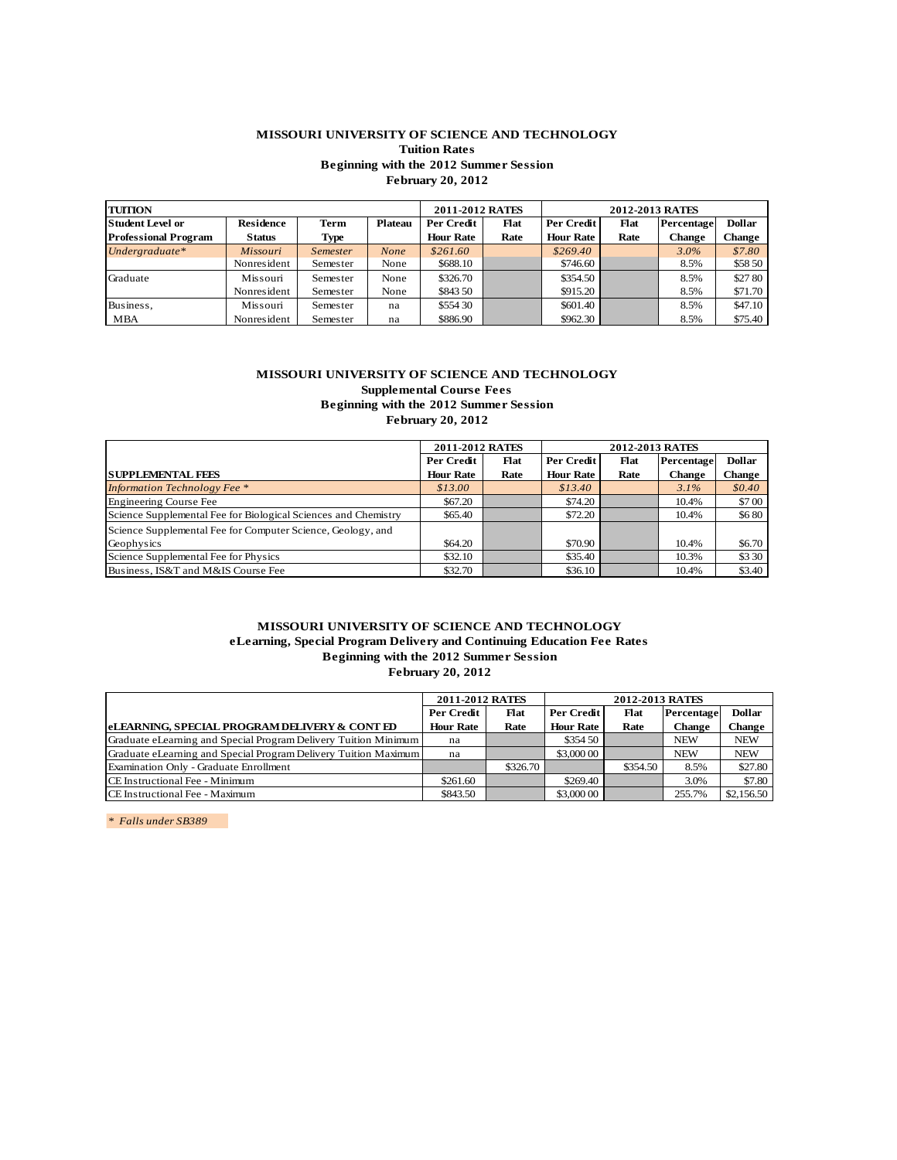## **MISSOURI UNIVERSITY OF SCIENCE AND TECHNOLOGY Tuition Rates Beginning with the 2012 Summer Session February 20, 2012**

|                             | Beginning with the 2012 Summer Session<br><b>February 20, 2012</b> |                 |                |                  |      |                  |                 |               |               |  |  |
|-----------------------------|--------------------------------------------------------------------|-----------------|----------------|------------------|------|------------------|-----------------|---------------|---------------|--|--|
| <b>TUITION</b>              |                                                                    |                 |                | 2011-2012 RATES  |      |                  | 2012-2013 RATES |               |               |  |  |
| <b>Student Level or</b>     | <b>Residence</b>                                                   | <b>Term</b>     | <b>Plateau</b> | Per Credit       | Flat | Per Credit       | <b>Flat</b>     | Percentage    | <b>Dollar</b> |  |  |
| <b>Professional Program</b> | <b>Status</b>                                                      | Type            |                | <b>Hour Rate</b> | Rate | <b>Hour Rate</b> | Rate            | <b>Change</b> | <b>Change</b> |  |  |
| Undergraduate*              | <i>Missouri</i>                                                    | <i>Semester</i> | None           | \$261.60         |      | \$269.40         |                 | $3.0\%$       | \$7.80        |  |  |
|                             | Nonresident                                                        | Semester        | None           | \$688.10         |      | \$746.60         |                 | 8.5%          | \$58 50       |  |  |
| Graduate                    | Missouri                                                           | Semester        | None           | \$326.70         |      | \$354.50         |                 | 8.5%          | \$27.80       |  |  |
|                             | Nonresident                                                        | Semester        | None           | \$843.50         |      | \$915.20         |                 | 8.5%          | \$71.70       |  |  |
| Business,                   | Missouri                                                           | Semester        | na             | \$554 30         |      | \$601.40         |                 | 8.5%          | \$47.10       |  |  |
| MBA                         | Nonresident                                                        | Semester        | na             | \$886.90         |      | \$962.30         |                 | 8.5%          | \$75.40       |  |  |
|                             |                                                                    |                 |                |                  |      |                  |                 |               |               |  |  |

## **MISSOURI UNIVERSITY OF SCIENCE AND TECHNOLOGY Supplemental Course Fees**

| Per Credit       | Flat | Per Credit                                                                   | <b>Flat</b>                            |         | <b>Dollar</b>                 |
|------------------|------|------------------------------------------------------------------------------|----------------------------------------|---------|-------------------------------|
| <b>Hour Rate</b> | Rate | <b>Hour Rate</b>                                                             | Rate                                   | Change  | <b>Change</b>                 |
| \$13.00          |      | \$13.40                                                                      |                                        | $3.1\%$ | \$0.40                        |
| \$67.20          |      | \$74.20                                                                      |                                        | 10.4%   | \$700                         |
| \$65.40          |      | \$72.20                                                                      |                                        | 10.4%   | \$680                         |
|                  |      |                                                                              |                                        |         |                               |
| \$64.20          |      | \$70.90                                                                      |                                        | 10.4%   | \$6.70                        |
| \$32.10          |      | \$35.40                                                                      |                                        | 10.3%   | \$3 30                        |
| \$32.70          |      | \$36.10                                                                      |                                        | 10.4%   | \$3.40                        |
|                  |      | buppicmema course recs<br><b>February 20, 2012</b><br><b>2011-2012 RATES</b> | Beginning with the 2012 Summer Session |         | 2012-2013 RATES<br>Percentage |

## **MISSOURI UNIVERSITY OF SCIENCE AND TECHNOLOGY eLearning, Special Program Delivery and Continuing Education Fee Rates Beginning with the 2012 Summer Session February 20, 2012**

| clicaring, opecial riverant benvery and continuing liquidition receivates<br>Beginning with the 2012 Summer Session | <b>February 20, 2012</b> |          |                  |                        |               |               |
|---------------------------------------------------------------------------------------------------------------------|--------------------------|----------|------------------|------------------------|---------------|---------------|
|                                                                                                                     | 2011-2012 RATES          |          |                  | <b>2012-2013 RATES</b> |               |               |
|                                                                                                                     | Per Credit               | Flat     | Per Credit       | Flat                   | Percentage    | <b>Dollar</b> |
| eLEARNING, SPECIAL PROGRAM DELIVERY & CONT ED                                                                       | <b>Hour Rate</b>         | Rate     | <b>Hour Rate</b> | Rate                   | <b>Change</b> | <b>Change</b> |
| Graduate eLearning and Special Program Delivery Tuition Minimum                                                     | na                       |          | \$354 50         |                        | <b>NEW</b>    | <b>NEW</b>    |
| Graduate eLearning and Special Program Delivery Tuition Maximum                                                     | na                       |          | \$3,000 00       |                        | <b>NEW</b>    | <b>NEW</b>    |
| Examination Only - Graduate Enrollment                                                                              |                          | \$326.70 |                  | \$354.50               | 8.5%          | \$27.80       |
| CE Instructional Fee - Minimum                                                                                      | \$261.60                 |          | \$269.40         |                        | 3.0%          | \$7.80        |
| CE Instructional Fee - Maximum                                                                                      | \$843.50                 |          | \$3,000 00       |                        | 255.7%        | \$2,156.50    |
|                                                                                                                     |                          |          |                  |                        |               |               |